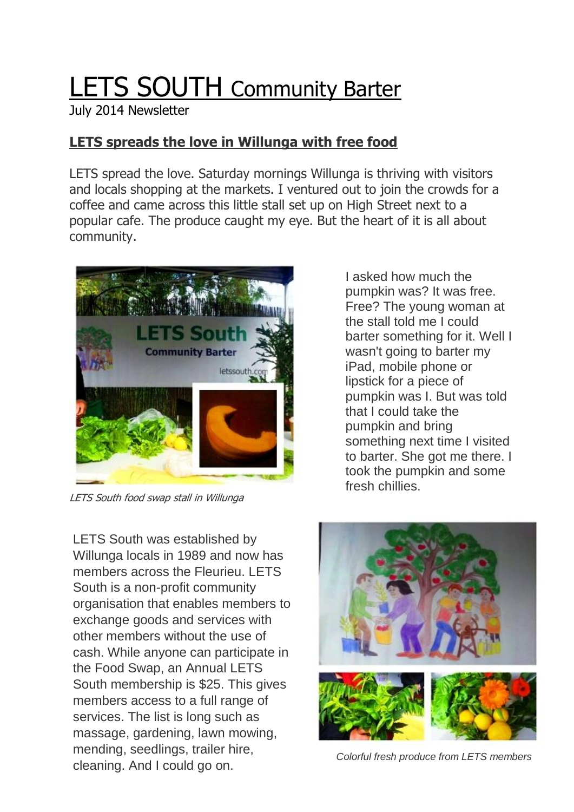## LETS SOUTH Community Barter

July 2014 Newsletter

## **LETS spreads the love in Willunga with free food**

LETS spread the love. Saturday mornings Willunga is thriving with visitors and locals shopping at the markets. I ventured out to join the crowds for a coffee and came across this little stall set up on High Street next to a popular cafe. The produce caught my eye. But the heart of it is all about community.



LETS South food swap stall in Willunga

pumpkin was? It was free. Free? The young woman at the stall told me I could barter something for it. Well I wasn't going to barter my iPad, mobile phone or lipstick for a piece of pumpkin was I. But was told that I could take the pumpkin and bring something next time I visited to barter. She got me there. I took the pumpkin and some fresh chillies.

I asked how much the

LETS South was established by Willunga locals in 1989 and now has members across the Fleurieu. LETS South is a non-profit community organisation that enables members to exchange goods and services with other members without the use of cash. While anyone can participate in the Food Swap, an Annual LETS South membership is \$25. This gives members access to a full range of services. The list is long such as massage, gardening, lawn mowing, mending, seedlings, trailer hire, cleaning. And I could go on.



*Colorful fresh produce from LETS members*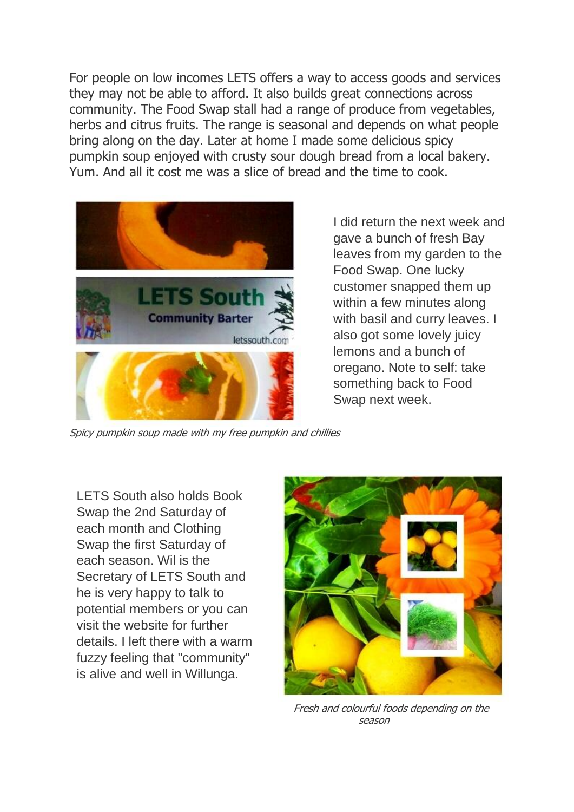For people on low incomes LETS offers a way to access goods and services they may not be able to afford. It also builds great connections across community. The Food Swap stall had a range of produce from vegetables, herbs and citrus fruits. The range is seasonal and depends on what people bring along on the day. Later at home I made some delicious spicy pumpkin soup enjoyed with crusty sour dough bread from a local bakery. Yum. And all it cost me was a slice of bread and the time to cook.



I did return the next week and gave a bunch of fresh Bay leaves from my garden to the Food Swap. One lucky customer snapped them up within a few minutes along with basil and curry leaves. I also got some lovely juicy lemons and a bunch of oregano. Note to self: take something back to Food Swap next week.

Spicy pumpkin soup made with my free pumpkin and chillies

LETS South also holds Book Swap the 2nd Saturday of each month and Clothing Swap the first Saturday of each season. Wil is the Secretary of LETS South and he is very happy to talk to potential members or you can visit the website for further details. I left there with a warm fuzzy feeling that "community" is alive and well in Willunga.



Fresh and colourful foods depending on the season